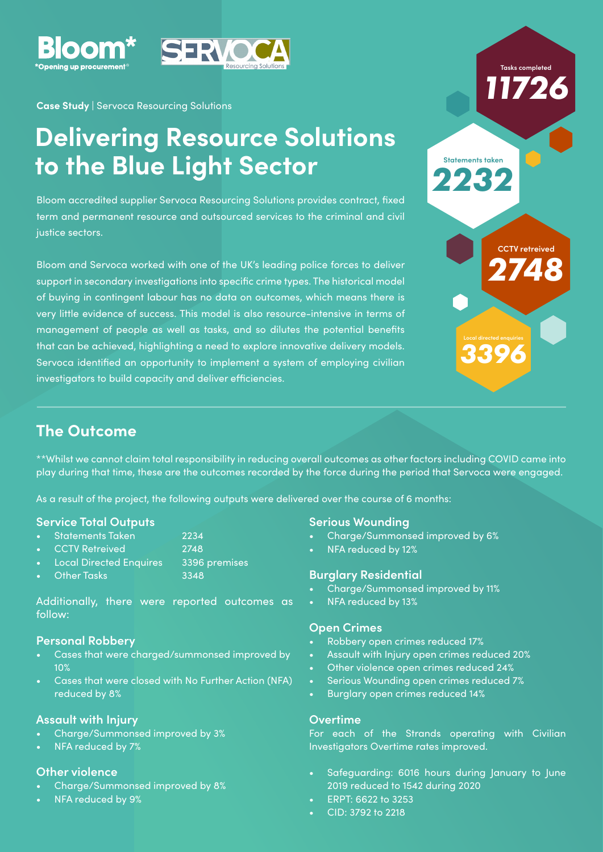

**Case Study** | Servoca Resourcing Solutions

# **Delivering Resource Solutions to the Blue Light Sector**

Bloom accredited supplier Servoca Resourcing Solutions provides contract, fixed term and permanent resource and outsourced services to the criminal and civil justice sectors.

Bloom and Servoca worked with one of the UK's leading police forces to deliver support in secondary investigations into specific crime types. The historical model of buying in contingent labour has no data on outcomes, which means there is very little evidence of success. This model is also resource-intensive in terms of management of people as well as tasks, and so dilutes the potential benefits that can be achieved, highlighting a need to explore innovative delivery models. Servoca identified an opportunity to implement a system of employing civilian investigators to build capacity and deliver efficiencies.



*2748*

**CCTV retreived**

*3396*

### **The Outcome**

\*\*Whilst we cannot claim total responsibility in reducing overall outcomes as other factors including COVID came into play during that time, these are the outcomes recorded by the force during the period that Servoca were engaged.

As a result of the project, the following outputs were delivered over the course of 6 months:

#### **Service Total Outputs**

- Statements Taken 2234
- CCTV Retreived 2748
- Local Directed Enquires 3396 premises
- Pother Tasks 3348

Additionally, there were reported outcomes as follow:

#### **Personal Robbery**

- Cases that were charged/summonsed improved by 10%
- Cases that were closed with No Further Action (NFA) reduced by 8%

#### **Assault with Injury**

- Charge/Summonsed improved by 3%
- NFA reduced by 7%

#### **Other violence**

- Charge/Summonsed improved by 8%
- NFA reduced by 9%

#### **Serious Wounding**

- Charge/Summonsed improved by 6%
- NFA reduced by 12%

#### **Burglary Residential**

- Charge/Summonsed improved by 11%
- NFA reduced by 13%

#### **Open Crimes**

- Robbery open crimes reduced 17%
- Assault with Injury open crimes reduced 20%
- Other violence open crimes reduced 24%
- Serious Wounding open crimes reduced 7%
- Burglary open crimes reduced 14%

#### **Overtime**

For each of the Strands operating with Civilian Investigators Overtime rates improved.

- Safeguarding: 6016 hours during January to June 2019 reduced to 1542 during 2020
- ERPT: 6622 to 3253
- CID: 3792 to 2218